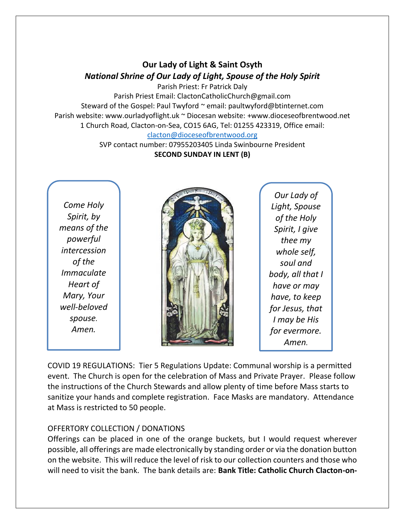## **Our Lady of Light & Saint Osyth** *National Shrine of Our Lady of Light, Spouse of the Holy Spirit*

Parish Priest: Fr Patrick Daly

Parish Priest Email: ClactonCatholicChurch@gmail.com Steward of the Gospel: Paul Twyford ~ email: paultwyford@btinternet.com Parish website: www.ourladyoflight.uk ~ Diocesan website: +www.dioceseofbrentwood.net 1 Church Road, Clacton-on-Sea, CO15 6AG, Tel: 01255 423319, Office email:

[clacton@dioceseofbrentwood.org](mailto:clacton@dioceseofbrentwood.org)

SVP contact number: 07955203405 Linda Swinbourne President **SECOND SUNDAY IN LENT (B)**

*Come Holy Spirit, by means of the powerful intercession of the Immaculate Heart of Mary, Your well-beloved spouse. Amen.*



*Our Lady of Light, Spouse of the Holy Spirit, I give thee my whole self, soul and body, all that I have or may have, to keep for Jesus, that I may be His for evermore. Amen.*

COVID 19 REGULATIONS: Tier 5 Regulations Update: Communal worship is a permitted event. The Church is open for the celebration of Mass and Private Prayer. Please follow the instructions of the Church Stewards and allow plenty of time before Mass starts to sanitize your hands and complete registration. Face Masks are mandatory. Attendance at Mass is restricted to 50 people.

## OFFERTORY COLLECTION / DONATIONS

Offerings can be placed in one of the orange buckets, but I would request wherever possible, all offerings are made electronically by standing order or via the donation button on the website. This will reduce the level of risk to our collection counters and those who will need to visit the bank. The bank details are: **Bank Title: Catholic Church Clacton-on-**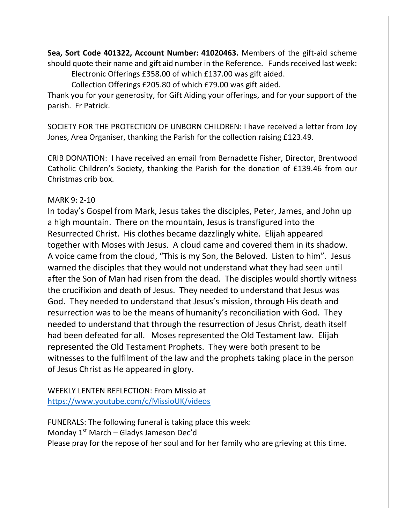**Sea, Sort Code 401322, Account Number: 41020463.** Members of the gift-aid scheme should quote their name and gift aid number in the Reference. Funds received last week: Electronic Offerings £358.00 of which £137.00 was gift aided.

Collection Offerings £205.80 of which £79.00 was gift aided.

Thank you for your generosity, for Gift Aiding your offerings, and for your support of the parish. Fr Patrick.

SOCIETY FOR THE PROTECTION OF UNBORN CHILDREN: I have received a letter from Joy Jones, Area Organiser, thanking the Parish for the collection raising £123.49.

CRIB DONATION: I have received an email from Bernadette Fisher, Director, Brentwood Catholic Children's Society, thanking the Parish for the donation of £139.46 from our Christmas crib box.

## MARK 9: 2-10

In today's Gospel from Mark, Jesus takes the disciples, Peter, James, and John up a high mountain. There on the mountain, Jesus is transfigured into the Resurrected Christ. His clothes became dazzlingly white. Elijah appeared together with Moses with Jesus. A cloud came and covered them in its shadow. A voice came from the cloud, "This is my Son, the Beloved. Listen to him". Jesus warned the disciples that they would not understand what they had seen until after the Son of Man had risen from the dead. The disciples would shortly witness the crucifixion and death of Jesus. They needed to understand that Jesus was God. They needed to understand that Jesus's mission, through His death and resurrection was to be the means of humanity's reconciliation with God. They needed to understand that through the resurrection of Jesus Christ, death itself had been defeated for all. Moses represented the Old Testament law. Elijah represented the Old Testament Prophets. They were both present to be witnesses to the fulfilment of the law and the prophets taking place in the person of Jesus Christ as He appeared in glory.

WEEKLY LENTEN REFLECTION: From Missio at <https://www.youtube.com/c/MissioUK/videos>

FUNERALS: The following funeral is taking place this week: Monday 1<sup>st</sup> March - Gladys Jameson Dec'd Please pray for the repose of her soul and for her family who are grieving at this time.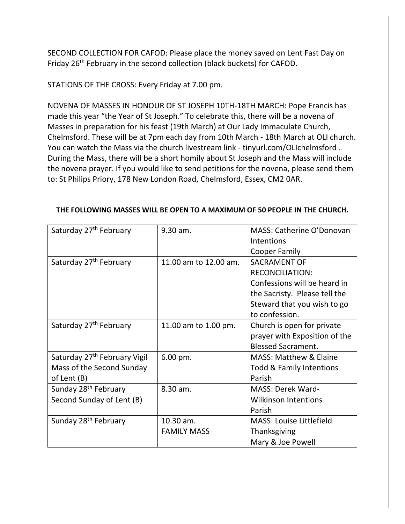SECOND COLLECTION FOR CAFOD: Please place the money saved on Lent Fast Day on Friday 26<sup>th</sup> February in the second collection (black buckets) for CAFOD.

STATIONS OF THE CROSS: Every Friday at 7.00 pm.

NOVENA OF MASSES IN HONOUR OF ST JOSEPH 10TH-18TH MARCH: Pope Francis has made this year "the Year of St Joseph." To celebrate this, there will be a novena of Masses in preparation for his feast (19th March) at Our Lady Immaculate Church, Chelmsford. These will be at 7pm each day from 10th March - 18th March at OLI church. You can watch the Mass via the church livestream link - tinyurl.com/OLIchelmsford . During the Mass, there will be a short homily about St Joseph and the Mass will include the novena prayer. If you would like to send petitions for the novena, please send them to: St Philips Priory, 178 New London Road, Chelmsford, Essex, CM2 0AR.

| Saturday 27 <sup>th</sup> February       | 9.30 am.              | MASS: Catherine O'Donovan           |
|------------------------------------------|-----------------------|-------------------------------------|
|                                          |                       | Intentions                          |
|                                          |                       | Cooper Family                       |
| Saturday 27 <sup>th</sup> February       | 11.00 am to 12.00 am. | <b>SACRAMENT OF</b>                 |
|                                          |                       | <b>RECONCILIATION:</b>              |
|                                          |                       | Confessions will be heard in        |
|                                          |                       | the Sacristy. Please tell the       |
|                                          |                       | Steward that you wish to go         |
|                                          |                       | to confession.                      |
| Saturday 27 <sup>th</sup> February       | 11.00 am to 1.00 pm.  | Church is open for private          |
|                                          |                       | prayer with Exposition of the       |
|                                          |                       | <b>Blessed Sacrament.</b>           |
| Saturday 27 <sup>th</sup> February Vigil | 6.00 pm.              | <b>MASS: Matthew &amp; Elaine</b>   |
| Mass of the Second Sunday                |                       | <b>Todd &amp; Family Intentions</b> |
| of Lent (B)                              |                       | Parish                              |
| Sunday 28 <sup>th</sup> February         | 8.30 am.              | <b>MASS: Derek Ward-</b>            |
| Second Sunday of Lent (B)                |                       | <b>Wilkinson Intentions</b>         |
|                                          |                       | Parish                              |
| Sunday 28 <sup>th</sup> February         | 10.30 am.             | <b>MASS: Louise Littlefield</b>     |
|                                          | <b>FAMILY MASS</b>    | Thanksgiving                        |
|                                          |                       | Mary & Joe Powell                   |

## **THE FOLLOWING MASSES WILL BE OPEN TO A MAXIMUM OF 50 PEOPLE IN THE CHURCH.**